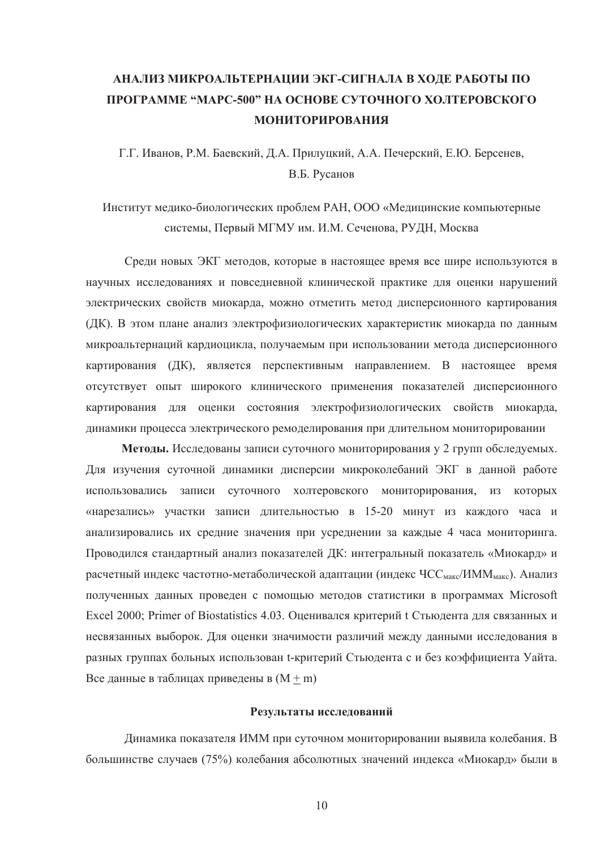## **АНАЛИЗ МИКРОАЛЬТЕРНАЦИИ ЭКГ-СИГНАЛА В ХОДЕ РАБОТЫ ПО ɉɊɈȽɊȺɆɆȿ "ɆȺɊɋ-500" ɇȺ ɈɋɇɈȼȿ ɋɍɌɈɑɇɈȽɈ ɏɈɅɌȿɊɈȼɋɄɈȽɈ** МОНИТОРИРОВАНИЯ

Г.Г. Иванов, Р.М. Баевский, Д.А. Прилуцкий, А.А. Печерский, Е.Ю. Берсенев, В.Б. Русанов

## Институт мелико-биологических проблем РАН, ООО «Мелицинские компьютерные системы, Первый МГМУ им. И.М. Сеченова, РУДН, Москва

Среди новых ЭКГ метолов, которые в настоящее время все шире используются в научных исследованиях и повседневной клинической практике для оценки нарушений электрических свойств миокарда, можно отметить метод дисперсионного картирования (ДК). В этом плане анализ электрофизиологических характеристик миокарда по данным микроальтернаций кардиоцикла, получаемым при использовании метода дисперсионного картирования (ДК), является перспективным направлением. В настоящее время отсутствует опыт широкого клинического применения показателей дисперсионного картирования для оценки состояния электрофизиологических свойств миокарда, динамики процесса электрического ремоделирования при длительном мониторировании

Методы. Исследованы записи суточного мониторирования у 2 групп обследуемых. Для изучения суточной динамики дисперсии микроколебаний ЭКГ в данной работе использовались записи суточного холтеровского мониторирования, из которых «нарезались» участки записи длительностью в 15-20 минут из каждого часа и анализировались их средние значения при усреднении за каждые 4 часа мониторинга. Проводился стандартный анализ показателей ДК: интегральный показатель «Миокард» и расчетный индекс частотно-метаболической адаптации (индекс ЧСС<sub>макс</sub>/ИММ<sub>макс</sub>). Анализ полученных данных проведен с помощью методов статистики в программах Microsoft Excel 2000; Primer of Biostatistics 4.03. Оценивался критерий t Стьюдента для связанных и несвязанных выборок. Для оценки значимости различий между данными исследования в разных группах больных использован t-критерий Стьюдента с и без коэффициента Уайта. Все данные в таблицах приведены в  $(M + m)$ 

## Результаты исследований

Динамика показателя ИММ при суточном мониторировании выявила колебания. В большинстве случаев (75%) колебания абсолютных значений индекса «Миокард» были в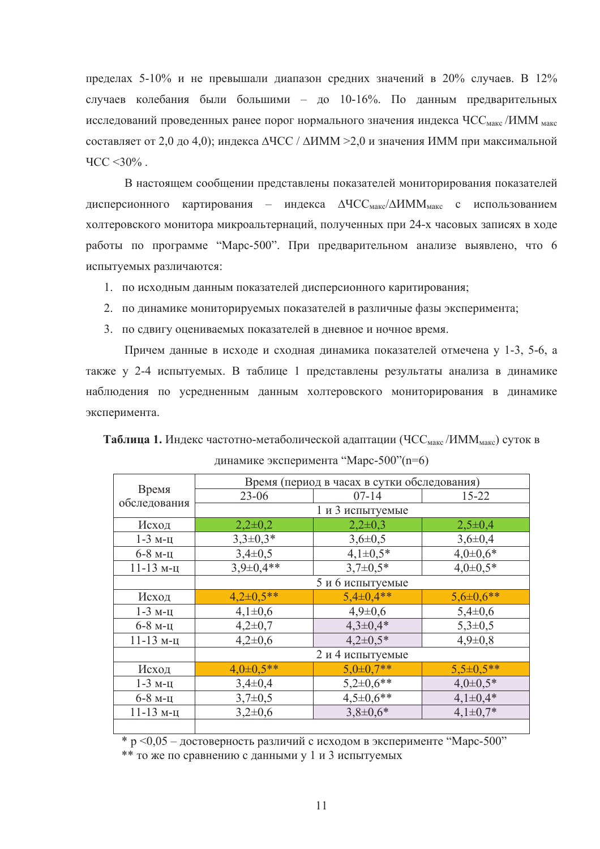пределах 5-10% и не превышали диапазон средних значений в 20% случаев. В 12% случаев колебания были большими – до 10-16%. По данным предварительных исследований проведенных ранее порог нормального значения индекса ЧСС<sub>макс</sub> /ИММ <sub>макс</sub> составляет от 2,0 до 4,0); индекса  $\Delta$ ЧСС /  $\Delta$ ИММ >2,0 и значения ИММ при максимальной  $\text{YCC} < 30\%$ .

В настоящем сообщении представлены показателей мониторирования показателей дисперсионного картирования – индекса  $\Delta$ ЧСС<sub>макс</sub>/ $\Delta$ ИММ<sub>макс</sub> с использованием холтеровского монитора микроальтернаций, полученных при 24-х часовых записях в ходе работы по программе "Марс-500". При предварительном анализе выявлено, что 6 испытуемых различаются:

1. по исходным данным показателей дисперсионного каритирования;

- 2. по динамике мониторируемых показателей в различные фазы эксперимента;
- 3. по сдвигу оцениваемых показателей в дневное и ночное время.

Причем данные в исходе и сходная динамика показателей отмечена у 1-3, 5-6, а также у 2-4 испытуемых. В таблице 1 представлены результаты анализа в динамике наблюдения по усредненным данным холтеровского мониторирования в динамике эксперимента.

**Таблица 1.** Индекс частотно-метаболической адаптации (ЧСС<sub>макс</sub>/ИММ<sub>макс</sub>) суток в динамике эксперимента "Марс-500"(n=6)

| Время<br>обследования | Время (период в часах в сутки обследования) |                |                 |
|-----------------------|---------------------------------------------|----------------|-----------------|
|                       | $23 - 06$                                   | $07 - 14$      | $15 - 22$       |
|                       | 1 и 3 испытуемые                            |                |                 |
| Исход                 | $2,2\pm0,2$                                 | $2,2\pm0,3$    | $2,5\pm0,4$     |
| $1-3$ м-ц             | $3,3\pm0,3*$                                | $3,6 \pm 0,5$  | $3,6 \pm 0,4$   |
| $6-8$ м-ц             | $3,4\pm0,5$                                 | $4,1\pm0,5*$   | $4,0\pm0,6*$    |
| $11-13$ м-ц           | $3,9\pm0,4**$                               | $3.7 \pm 0.5*$ | $4,0\pm0.5*$    |
|                       | 5 и 6 испытуемые                            |                |                 |
| Исход                 | $4,2\pm0,5**$                               | $5,4\pm0,4**$  | $5,6 \pm 0,6**$ |
| $1-3$ м-ц             | $4,1\pm0,6$                                 | $4,9 \pm 0,6$  | $5,4\pm0,6$     |
| $6-8$ м-ц             | $4,2\pm0,7$                                 | $4,3\pm0,4*$   | $5,3\pm0,5$     |
| $11-13$ м-ц           | $4,2\pm0,6$                                 | $4,2\pm0.5*$   | $4,9 \pm 0,8$   |
|                       | 2 и 4 испытуемые                            |                |                 |
| Исход                 | $4,0\pm0,5**$                               | $5,0\pm0.7**$  | $5,5\pm0.5**$   |
| $1-3$ м-ц             | $3,4\pm0,4$                                 | $5,2\pm0,6**$  | $4,0\pm0.5*$    |
| $6-8$ м-ц             | $3,7\pm0,5$                                 | $4,5\pm0.6**$  | $4,1\pm0.4*$    |
| $11-13$ м-ц           | $3,2\pm0,6$                                 | $3,8\pm0,6*$   | $4,1\pm0.7*$    |
|                       |                                             |                |                 |

 $* p < 0.05$  – достоверность различий с исходом в эксперименте "Марс-500"

\*\* то же по сравнению с данными у 1 и 3 испытуемых